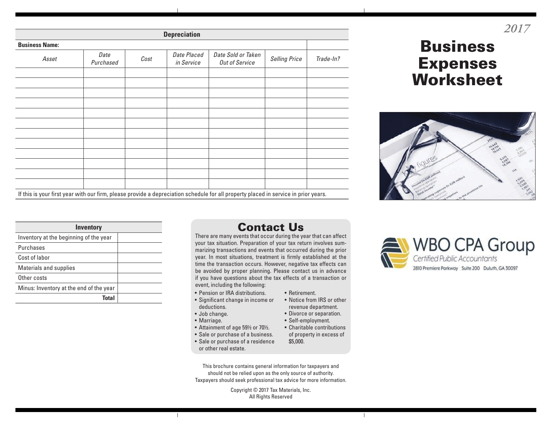| <b>Depreciation</b>   |                   |      |                           |                                                                                                                                     |                      |           |  |  |  |  |
|-----------------------|-------------------|------|---------------------------|-------------------------------------------------------------------------------------------------------------------------------------|----------------------|-----------|--|--|--|--|
| <b>Business Name:</b> |                   |      |                           |                                                                                                                                     |                      |           |  |  |  |  |
| Asset                 | Date<br>Purchased | Cost | Date Placed<br>in Service | Date Sold or Taken<br>Out of Service                                                                                                | <b>Selling Price</b> | Trade-In? |  |  |  |  |
|                       |                   |      |                           |                                                                                                                                     |                      |           |  |  |  |  |
|                       |                   |      |                           |                                                                                                                                     |                      |           |  |  |  |  |
|                       |                   |      |                           |                                                                                                                                     |                      |           |  |  |  |  |
|                       |                   |      |                           |                                                                                                                                     |                      |           |  |  |  |  |
|                       |                   |      |                           |                                                                                                                                     |                      |           |  |  |  |  |
|                       |                   |      |                           |                                                                                                                                     |                      |           |  |  |  |  |
|                       |                   |      |                           |                                                                                                                                     |                      |           |  |  |  |  |
|                       |                   |      |                           |                                                                                                                                     |                      |           |  |  |  |  |
|                       |                   |      |                           |                                                                                                                                     |                      |           |  |  |  |  |
|                       |                   |      |                           |                                                                                                                                     |                      |           |  |  |  |  |
|                       |                   |      |                           |                                                                                                                                     |                      |           |  |  |  |  |
|                       |                   |      |                           | If this is your first year with our firm, please provide a depreciation schedule for all property placed in service in prior years. |                      |           |  |  |  |  |

## Business Expenses **Worksheet**

*2017*



| <b>Inventory</b>                        |  |
|-----------------------------------------|--|
| Inventory at the beginning of the year  |  |
| Purchases                               |  |
| Cost of labor                           |  |
| <b>Materials and supplies</b>           |  |
| Other costs                             |  |
| Minus: Inventory at the end of the year |  |
| Total                                   |  |

## Contact Us

There are many events that occur during the year that can affect your tax situation. Preparation of your tax return involves summarizing transactions and events that occurred during the prior year. In most situations, treatment is firmly established at the time the transaction occurs. However, negative tax effects can be avoided by proper planning. Please contact us in advance if you have questions about the tax effects of a transaction or event, including the following:

- Pension or IRA distributions.
- Significant change in income or deductions.
- Job change.
- Marriage.
- Attainment of age 59½ or 70½.
- Sale or purchase of a business.
- Sale or purchase of a residence or other real estate.
- Retirement.
- Notice from IRS or other revenue department.
- Divorce or separation.
- Self-employment.
- Charitable contributions of property in excess of



This brochure contains general information for taxpayers and should not be relied upon as the only source of authority. Taxpayers should seek professional tax advice for more information.

> Copyright © 2017 Tax Materials, Inc. All Rights Reserved